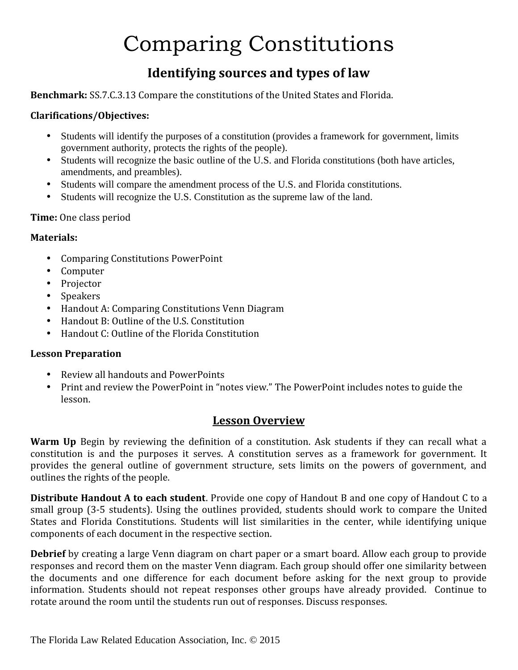# Comparing Constitutions

### **Identifying sources and types of law**

**Benchmark:** SS.7.C.3.13 Compare the constitutions of the United States and Florida.

#### **Clarifications/Objectives:**

- Students will identify the purposes of a constitution (provides a framework for government, limits government authority, protects the rights of the people).
- Students will recognize the basic outline of the U.S. and Florida constitutions (both have articles, amendments, and preambles).
- Students will compare the amendment process of the U.S. and Florida constitutions.
- Students will recognize the U.S. Constitution as the supreme law of the land.

#### **Time:** One class period

#### **Materials:**

- 
- 
- 
- 
- Comparing Constitutions PowerPoint<br>
Computer<br>
Projector<br>
Speakers<br>
Handout A: Comparing Constitutions Venn Diagram
- Handout B: Outline of the U.S. Constitution
- Handout C: Outline of the Florida Constitution

#### **Lesson Preparation**

- 
- Review all handouts and PowerPoints<br>• Print and review the PowerPoint in "notes view." The PowerPoint includes notes to guide the lesson.

#### **Lesson Overview**

**Warm Up** Begin by reviewing the definition of a constitution. Ask students if they can recall what a constitution is and the purposes it serves. A constitution serves as a framework for government. It provides the general outline of government structure, sets limits on the powers of government, and outlines the rights of the people.

**Distribute Handout A to each student**. Provide one copy of Handout B and one copy of Handout C to a small group (3-5 students). Using the outlines provided, students should work to compare the United States and Florida Constitutions. Students will list similarities in the center, while identifying unique components of each document in the respective section.

**Debrief** by creating a large Venn diagram on chart paper or a smart board. Allow each group to provide responses and record them on the master Venn diagram. Each group should offer one similarity between the documents and one difference for each document before asking for the next group to provide information. Students should not repeat responses other groups have already provided. Continue to rotate around the room until the students run out of responses. Discuss responses.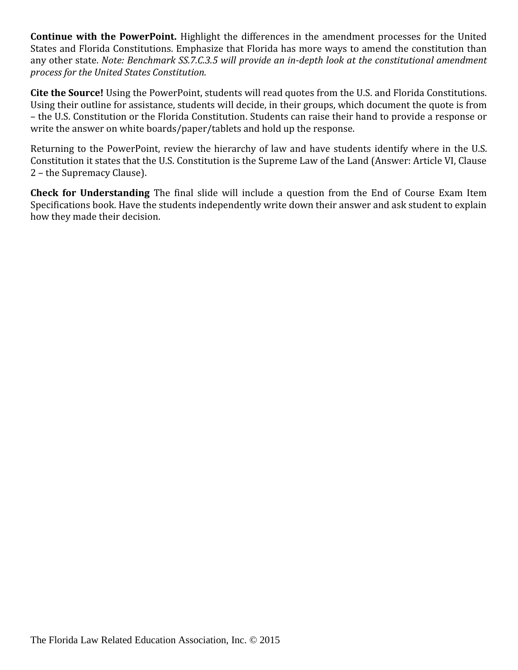**Continue with the PowerPoint.** Highlight the differences in the amendment processes for the United States and Florida Constitutions. Emphasize that Florida has more ways to amend the constitution than any other state. *Note: Benchmark SS.7.C.3.5 will provide an in-depth look at the constitutional amendment process for the United States Constitution.*

**Cite the Source!** Using the PowerPoint, students will read quotes from the U.S. and Florida Constitutions. Using their outline for assistance, students will decide, in their groups, which document the quote is from – the U.S. Constitution or the Florida Constitution. Students can raise their hand to provide a response or write the answer on white boards/paper/tablets and hold up the response.

Returning to the PowerPoint, review the hierarchy of law and have students identify where in the U.S. Constitution it states that the U.S. Constitution is the Supreme Law of the Land (Answer: Article VI, Clause 2 – the Supremacy Clause).

**Check for Understanding** The final slide will include a question from the End of Course Exam Item Specifications book. Have the students independently write down their answer and ask student to explain how they made their decision.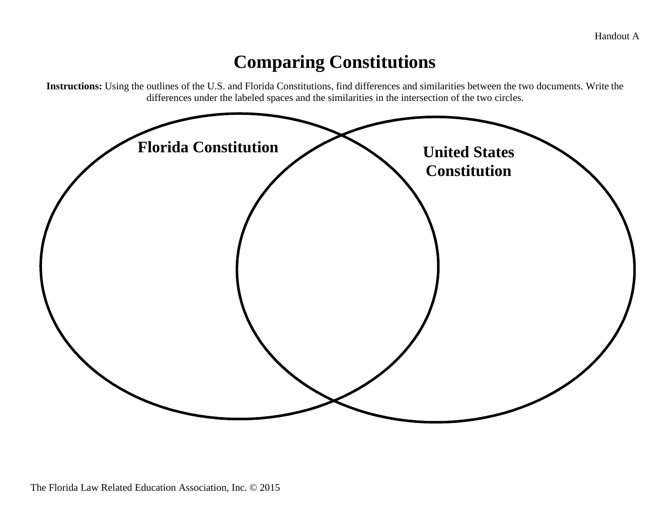## **Comparing Constitutions**

**Instructions:** Using the outlines of the U.S. and Florida Constitutions, find differences and similarities between the two documents. Write the differences under the labeled spaces and the similarities in the intersection of the two circles.

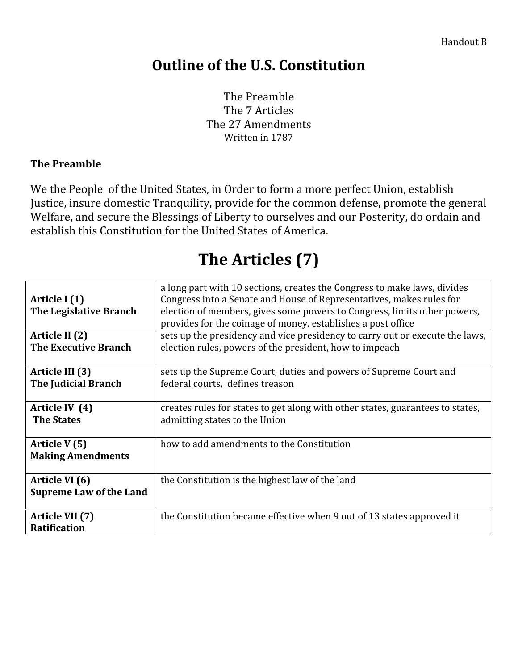## **Outline of the U.S. Constitution**

The Preamble The 7 Articles The 27 Amendments Written in 1787

#### **The Preamble**

We the People of the United States, in Order to form a more perfect Union, establish Justice, insure domestic Tranquility, provide for the common defense, promote the general Welfare, and secure the Blessings of Liberty to ourselves and our Posterity, do ordain and establish this Constitution for the United States of America.

## **The Articles (7)**

| Article I (1)<br>The Legislative Branch          | a long part with 10 sections, creates the Congress to make laws, divides<br>Congress into a Senate and House of Representatives, makes rules for<br>election of members, gives some powers to Congress, limits other powers,<br>provides for the coinage of money, establishes a post office |
|--------------------------------------------------|----------------------------------------------------------------------------------------------------------------------------------------------------------------------------------------------------------------------------------------------------------------------------------------------|
| Article II (2)<br><b>The Executive Branch</b>    | sets up the presidency and vice presidency to carry out or execute the laws,<br>election rules, powers of the president, how to impeach                                                                                                                                                      |
| Article III (3)<br><b>The Judicial Branch</b>    | sets up the Supreme Court, duties and powers of Supreme Court and<br>federal courts, defines treason                                                                                                                                                                                         |
| Article IV (4)<br><b>The States</b>              | creates rules for states to get along with other states, guarantees to states,<br>admitting states to the Union                                                                                                                                                                              |
| Article V (5)<br><b>Making Amendments</b>        | how to add amendments to the Constitution                                                                                                                                                                                                                                                    |
| Article VI (6)<br><b>Supreme Law of the Land</b> | the Constitution is the highest law of the land                                                                                                                                                                                                                                              |
| Article VII (7)<br><b>Ratification</b>           | the Constitution became effective when 9 out of 13 states approved it                                                                                                                                                                                                                        |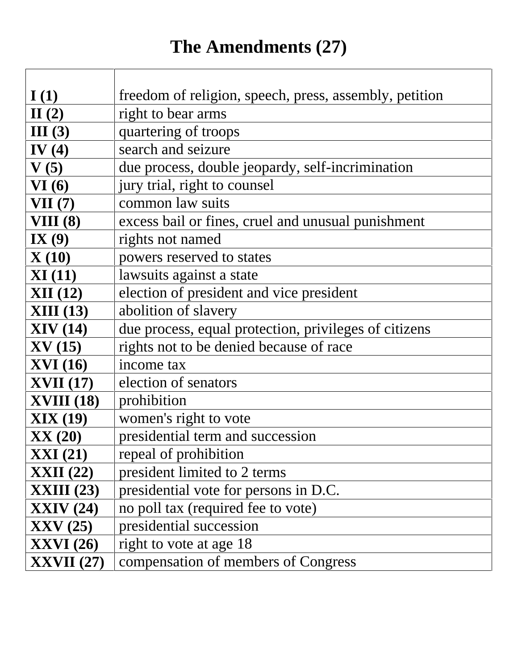## **The Amendments (27)**

| I(1)              | freedom of religion, speech, press, assembly, petition |
|-------------------|--------------------------------------------------------|
| II(2)             | right to bear arms                                     |
| III(3)            | quartering of troops                                   |
| IV $(4)$          | search and seizure                                     |
| V(5)              | due process, double jeopardy, self-incrimination       |
| VI(6)             | jury trial, right to counsel                           |
| VII(7)            | common law suits                                       |
| VIII(8)           | excess bail or fines, cruel and unusual punishment     |
| IX $(9)$          | rights not named                                       |
| $\mathbf{X}(10)$  | powers reserved to states                              |
| XI(11)            | lawsuits against a state                               |
| XII(12)           | election of president and vice president               |
| <b>XIII</b> (13)  | abolition of slavery                                   |
| XIV(14)           | due process, equal protection, privileges of citizens  |
| $\bf{XV}$ (15)    | rights not to be denied because of race                |
| <b>XVI</b> (16)   | income tax                                             |
| <b>XVII</b> (17)  | election of senators                                   |
| <b>XVIII</b> (18) | prohibition                                            |
| XIX(19)           | women's right to vote                                  |
| XX(20)            | presidential term and succession                       |
| $\bold{XXI}$ (21) | repeal of prohibition                                  |
| <b>XXII</b> (22)  | president limited to 2 terms                           |
| $XXIII$ (23)      | presidential vote for persons in D.C.                  |
| XXIV(24)          | no poll tax (required fee to vote)                     |
| $\bf XXV$ (25)    | presidential succession                                |
| <b>XXVI</b> (26)  | right to vote at age 18                                |
| $\bf XXVII$ (27)  | compensation of members of Congress                    |